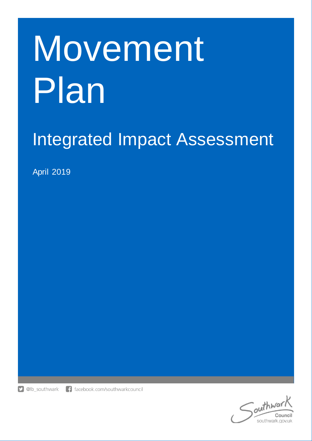# **Movement** Plan

# Integrated Impact Assessment

April 2019

**D** @lb\_southwark f facebook.com/southwarkcouncil

> outhway Council southwark.gov.uk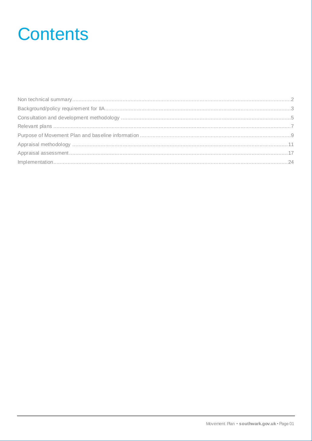# **Contents**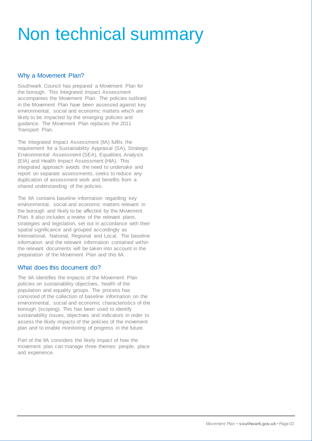# <span id="page-2-0"></span>Non technical summary

### Why a Movement Plan?

Southwark Council has prepared a Movement Plan for the borough. This Integrated Impact Assessment accompanies the Movement Plan. The policies outlined in the Movement Plan have been assessed against key environmental, social and economic matters which are likely to be impacted by the emerging policies and guidance. The Movement Plan replaces the 2011 Transport Plan.

The Integrated Impact Assessment (IIA) fulfils the requirement for a Sustainability Appraisal (SA), Strategic Environmental Assessment (SEA), Equalities Analysis (EIA) and Health Impact Assessment (HIA). This integrated approach avoids the need to undertake and report on separate assessments, seeks to reduce any duplication of assessment work and benefits from a shared understanding of the policies.

The IIA contains baseline information regarding key environmental, social and economic matters relevant in the borough and likely to be affected by the Movement Plan. It also includes a review of the relevant plans, strategies and legislation, set out in accordance with their spatial significance and grouped accordingly as International, National, Regional and Local. The baseline information and the relevant information contained within the relevant documents will be taken into account in the preparation of the Movement Plan and this IIA.

#### What does this document do?

The IIA identifies the impacts of the Movement Plan policies on sustainability objectives, health of the population and equality groups. The process has consisted of the collection of baseline information on the environmental, social and economic characteristics of the borough (scoping). This has been used to identify sustainability issues, objectives and indicators in order to assess the likely impacts of the policies of the movement plan and to enable monitoring of progress in the future.

Part of the IIA considers the likely impact of how the movement plan can manage three themes: people, place and experience.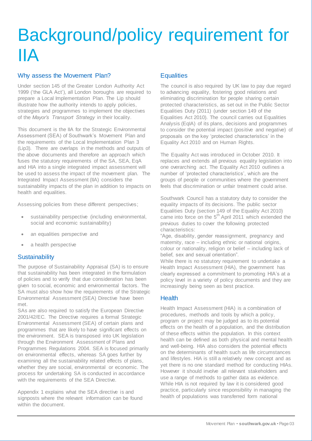# <span id="page-3-0"></span>Background/policy requirement for IIA

#### Why assess the Movement Plan?

Under section 145 of the Greater London Authority Act 1999 ('the GLA Act'), all London boroughs are required to prepare a Local Implementation Plan. The Lip should illustrate how the authority intends to apply policies, strategies and programmes to implement the objectives of the *Mayor's Transport Strategy* in their locality.

This document is the IIA for the Strategic Environmental Assessment (SEA) of Southwark's Movement Plan and the requirements of the Local Implementation Plan 3 (Lip3). There are overlaps in the methods and outputs of the above documents and therefore an approach which fuses the statutory requirements of the SA, SEA, EqA and HIA into a single integrated impact assessment will be used to assess the impact of the movement plan. The Integrated Impact Assessment (IIA) considers the sustainability impacts of the plan in addition to impacts on health and equalities.

Assessing policies from these different perspectives;

- sustainability perspective (including environmental, social and economic sustainability)
- an equalities perspective and
- a health perspective

#### **Sustainability**

The purpose of Sustainability Appraisal (SA) is to ensure that sustainability has been integrated in the formulation of policies and to verify that due consideration has been given to social, economic and environmental factors. The SA must also show how the requirements of the Strategic Environmental Assessment (SEA) Directive have been met.

SAs are also required to satisfy the European Directive 2001/42/EC. The Directive requires a formal Strategic Environmental Assessment (SEA) of certain plans and programmes that are likely to have significant effects on the environment. SEA is transposed into UK legislation through the Environment Assessment of Plans and Programmes Regulations 2004. SEA is focused primarily on environmental effects, whereas SA goes further by examining all the sustainability related effects of plans, whether they are social, environmental or economic. The process for undertaking SA is conducted in accordance with the requirements of the SEA Directive.

Appendix 1 explains what the SEA directive is and signposts where the relevant information can be found within the document.

#### **Equalities**

The council is also required by UK law to pay due regard to advancing equality, fostering good relations and eliminating discrimination for people sharing certain protected characteristics, as set out in the Public Sector Equalities Duty (2011) (under section 149 of the Equalities Act 2010). The council carries out Equalities Analysis (EqIA) of its plans, decisions and programmes to consider the potential impact (positive and negative) of proposals on the key 'protected characteristics' in the Equality Act 2010 and on Human Rights.

The Equality Act was introduced in October 2010. It replaces and extends all previous equality legislation into one overarching act. The Equality Act 2010 outlines a number of 'protected characteristics', which are the groups of people or communities where the government feels that discrimination or unfair treatment could arise.

Southwark Council has a statutory duty to consider the equality impacts of its decisions. The public sector Equalities Duty (section 149 of the Equality Act 2010) came into force on the 5<sup>th</sup> April 2011 which extended the previous duties to cover the following protected characteristics:

"Age, disability, gender reassignment, pregnancy and maternity, race – including ethnic or national origins, colour or nationality, religion or belief – including lack of belief, sex and sexual orientation".

While there is no statutory requirement to undertake a Health Impact Assessment (HIA), the government has clearly expressed a commitment to promoting HIA's at a policy level in a variety of policy documents and they are increasingly being seen as best practice.

#### **Health**

Health Impact Assessment (HIA) is a combination of procedures, methods and tools by which a policy, program or project may be judged as to its potential effects on the health of a population, and the distribution of these effects within the population. In this context health can be defined as both physical and mental health and well-being. HIA also considers the potential effects on the determinants of health such as life circumstances and lifestyles. HIA is still a relatively new concept and as yet there is no one standard method for conducting HIAs. However it should involve all relevant stakeholders and use a range of methods to gather data as evidence. While HIA is not required by law it is considered good practice, particularly since responsibility in managing the health of populations was transferred form national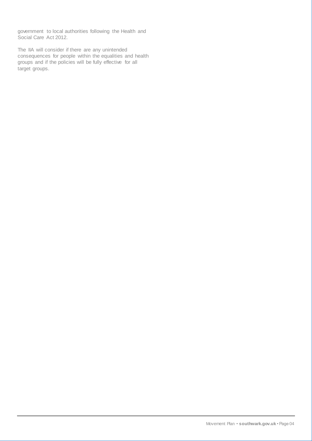government to local authorities following the Health and Social Care Act 2012.

The IIA will consider if there are any unintended consequences for people within the equalities and health groups and if the policies will be fully effective for all target groups.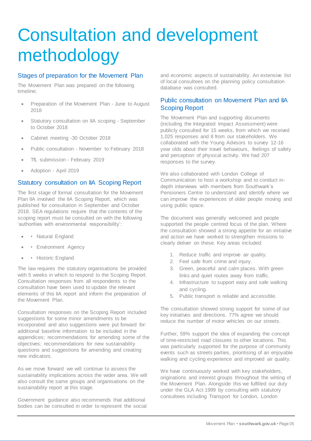# <span id="page-5-0"></span>Consultation and development methodology

### Stages of preparation for the Movement Plan

The Movement Plan was prepared on the following timeline;

- Preparation of the Movement Plan June to August 2018
- Statutory consultation on IIA scoping September to October 2018
- Cabinet meeting -30 October 2018
- Public consultation November to February 2018
- TfL submission February 2019
- Adoption April 2019

#### Statutory consultation on IIA Scoping Report

The first stage of formal consultation for the Movement Plan IIA involved the IIA Scoping Report, which was published for consultation in September and October 2018. SEA regulations require that the contents of the scoping report must be consulted on with the following 'authorities with environmental responsibility':

- • Natural England
- • Environment Agency
- • Historic England

The law requires the statutory organisations be provided with 5 weeks in which to respond to the Scoping Report. Consultation responses from all respondents to the consultation have been used to update the relevant elements of this IIA report and inform the preparation of the Movement Plan.

Consultation responses on the Scoping Report included suggestions for some minor amendments to be incorporated and also suggestions were put forward for: additional baseline information to be included in the appendices; recommendations for amending some of the objectives; recommendations for new sustainability questions and suggestions for amending and creating new indicators.

As we move forward we will continue to assess the sustainability implications across the wider area. We will also consult the same groups and organisations on the sustainability report at this stage.

Government guidance also recommends that additional bodies can be consulted in order to represent the social and economic aspects of sustainability. An extensive list of local consultees on the planning policy consultation database was consulted.

### Public consultation on Movement Plan and IIA Scoping Report

The Movement Plan and supporting documents (including the Integrated Impact Assessment) were publicly consulted for 15 weeks, from which we received 1,025 responses and 8 from our stakeholders. We collaborated with the Young Advisors to survey 12-16 year olds about their travel behaviours, feelings of safety and perception of physical activity. We had 207 responses to the survey.

We also collaborated with London College of Communication to host a workshop and to conduct indepth interviews with members from Southwark's Pensioners Centre to understand and identify where we can improve the experiences of older people moving and using public space.

The document was generally welcomed and people supported the people centred focus of the plan. Where the consultation showed a strong appetite for an initiative and action we have worked to strengthen missions to clearly deliver on these. Key areas included:

- 1. Reduce traffic and improve air quality.
- 2. Feel safe from crime and injury.
- 3. Green, peaceful and calm places. With green links and quiet routes away from traffic.
- 4. Infrastructure to support easy and safe walking and cycling.
- 5. Public transport is reliable and accessible.

The consultation showed strong support for some of our key initiatives and directions. 77% agree we should reduce the number of motor vehicles on our streets.

Further, 59% support the idea of expanding the concept of time-restricted road closures to other locations. This was particularly supported for the purpose of community events such as streets parties, prioritising of an enjoyable walking and cycling experience and improved air quality.

We have continuously worked with key stakeholders, originations and interest groups throughout the writing of the Movement Plan. Alongside this we fulfilled our duty under the GLA Act 1999 by consulting with statutory consultees including Transport for London, London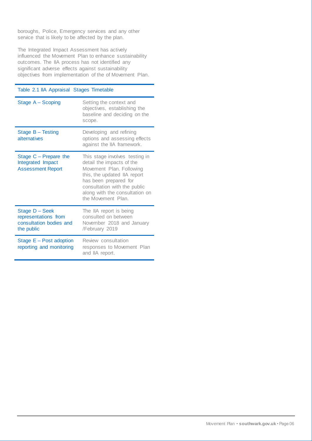boroughs, Police, Emergency services and any other service that is likely to be affected by the plan.

The Integrated Impact Assessment has actively influenced the Movement Plan to enhance sustainability outcomes. The IIA process has not identified any significant adverse effects against sustainability objectives from implementation of the of Movement Plan.

#### Table 2.1 IIA Appraisal Stages Timetable

| Stage A - Scoping                                                               | Setting the context and<br>objectives, establishing the<br>baseline and deciding on the<br>scope.                                                                                                                                        |
|---------------------------------------------------------------------------------|------------------------------------------------------------------------------------------------------------------------------------------------------------------------------------------------------------------------------------------|
| Stage B - Testing<br>alternatives                                               | Developing and refining<br>options and assessing effects<br>against the IIA framework.                                                                                                                                                   |
| Stage $C -$ Prepare the<br>Integrated Impact<br><b>Assessment Report</b>        | This stage involves testing in<br>detail the impacts of the<br>Movement Plan. Following<br>this, the updated IIA report<br>has been prepared for<br>consultation with the public<br>along with the consultation on<br>the Movement Plan. |
| Stage D - Seek<br>representations from<br>consultation bodies and<br>the public | The IIA report is being<br>consulted on between<br>November 2018 and January<br>/February 2019                                                                                                                                           |
| Stage $E - Post$ adoption<br>reporting and monitoring                           | Review consultation<br>responses to Movement Plan<br>and IIA report.                                                                                                                                                                     |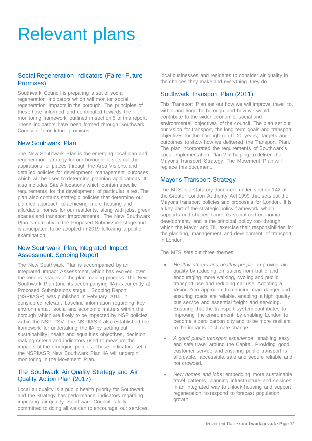# <span id="page-7-0"></span>Relevant plans

### Social Regeneration Indicators (Fairer Future Promises)

Southwark Council is preparing a set of social regeneration indicators which will monitor social regeneration impacts in the borough. The principles of these have informed and contributed towards the monitoring framework outlined in section 5 of this report. These indicators have been formed through Southwark Council's fairer future promises.

#### New Southwark Plan

The New Southwark Plan is the emerging local plan and regeneration strategy for our borough. It sets out the aspirations for places through the Area Visions, and detailed policies for development management purposes which will be used to determine planning applications. It also includes Site Allocations which contain specific requirements for the development of particular sites. The plan also contains strategic policies that determine our plan-led approach to achieving more housing and affordable homes for our residents, along with jobs, green spaces and transport improvements. The New Southwark Plan is currently at the Proposed Submission stage and is anticipated to be adopted in 2019 following a public examination.

#### New Southwark Plan, Integrated Impact Assessment: Scoping Report

The New Southwark Plan is accompanied by an, Integrated Impact Assessment, which has evolved over the various stages of the plan making process. The New Southwark Plan (and its accompanying IIA) is currently at Proposed Submissions stage. : Scoping Report (NSPIIASR) was published in February 2015. It considered relevant baseline information regarding key environmental, social and economic matters within the borough which are likely to be impacted by NSP policies within the NSP PSV. The NSPIIASR also established the framework for undertaking the IIA by setting out sustainability, health and equalities objectives, decision making criteria and indicators used to measure the impacts of the emerging policies. These indicators set in the NSPIIASR New Southwark Plan IIA will underpin monitoring in the Movement Plan.

#### The Southwark Air Quality Strategy and Air Quality Action Plan (2017)

Local air quality is a public health priority for Southwark and the Strategy has performance indicators regarding improving air quality. Southwark Council is fully committed to doing all we can to encourage our services, local businesses and residents to consider air quality in the choices they make and everything they do.

### Southwark Transport Plan (2011)

This Transport Plan set out how we will improve travel to, within and from the borough and how we would contribute to the wider economic, social and environmental objectives of the council. The plan set out our vision for transport, the long term goals and transport objectives for the borough (up to 20 years), targets and outcomes to show how we delivered the Transport Plan. The plan incorporated the requirements of Southwark's Local implementation Plan 2 in helping to deliver the Mayor's Transport Strategy. The Movement Plan will replace this document.

#### Mayor's Transport Strategy

The MTS is a statutory document under section 142 of the Greater London Authority Act 1999 that sets out the Mayor's transport policies and proposals for London. It is a key part of the strategic policy framework which supports and shapes London's social and economic development, and is the principal policy tool through which the Mayor and TfL exercise their responsibilities for the planning, management and development of transport in London.

The MTS sets out three themes:

- *Healthy streets and healthy people*: improving air quality by reducing emissions from traffic and encouraging more walking, cycling and public transport use and reducing car use. Adopting a Vision Zero approach to reducing road danger and ensuring roads are reliable, enabling a high quality bus service and essential freight and servicing. Ensuring that the transport system contributes to improving the environment by enabling London to become a zero carbon city and to be more resilient to the impacts of climate change.
- *A good public transport experience*: enabling easy and safe travel around the Capital. Providing good customer service and ensuring public transport is affordable, accessible, safe and secure reliable and not crowded.
- *New homes and jobs*: embedding more sustainable travel patterns, planning infrastructure and services in an integrated way to unlock housing and support regeneration to respond to forecast population growth.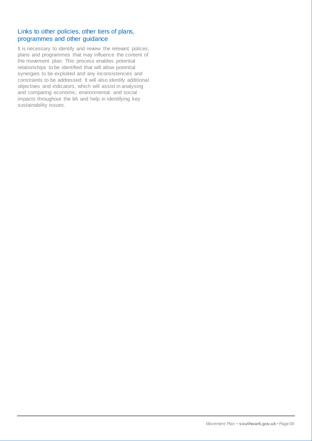#### Links to other policies, other tiers of plans, programmes and other guidance

It is necessary to identify and review the relevant polices, plans and programmes that may influence the content of the movement plan. This process enables potential relationships to be identified that will allow potential synergies to be exploited and any inconsistencies and constraints to be addressed. It will also identify additional objectives and indicators, which will assist in analysing and comparing economic, environmental and social impacts throughout the IIA and help in identifying key sustainability issues.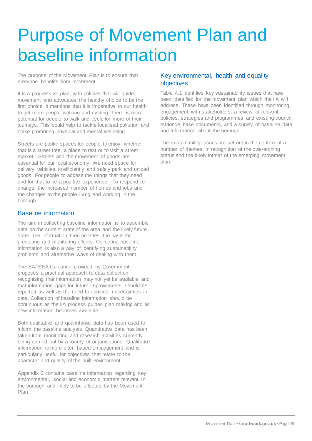# <span id="page-9-0"></span>Purpose of Movement Plan and baseline information

The purpose of the Movement Plan is to ensure that everyone benefits from movement.

It is a progressive plan, with policies that will guide movement and advocates the healthy choice to be the first choice. It mentions that it is imperative to our health to get more people walking and cycling. There is more potential for people to walk and cycle for more of their journeys. This could help to tackle localised pollution and noise promoting physical and mental wellbeing.

Streets are public spaces for people to enjoy, whether that is a street tree, a place to rest or to visit a street market. Streets and the movement of goods are essential for our local economy. We need space for delivery vehicles to efficiently and safely park and unload goods. For people to access the things that they need and for that to be a positive experience. To respond to change; the increased number of homes and jobs and the changes to the people living and working in the borough.

#### Baseline information

The aim in collecting baseline information is to assemble data on the current state of the area and the likely future state. The information then provides the basis for predicting and monitoring effects. Collecting baseline information is also a way of identifying sustainability problems and alternative ways of dealing with them.

The SA/ SEA Guidance provided by Government proposes a practical approach to data collection, recognising that information may not yet be available and that information gaps for future improvements should be reported as well as the need to consider uncertainties in data. Collection of baseline information should be continuous as the IIA process guides plan making and as new information becomes available.

Both qualitative and quantitative data has been used to inform the baseline analysis. Quantitative data has been taken from monitoring and research activities currently being carried out by a variety of organisations. Qualitative information is more often based on judgement and is particularly useful for objectives that relate to the character and quality of the built environment.

Appendix 2 contains baseline information regarding key environmental, social and economic matters relevant in the borough and likely to be affected by the Movement Plan

### Key environmental, health and equality objectives

Table 4.1 identifies key sustainability issues that have been identified for the movement plan which the IIA will address. These have been identified through monitoring, engagement with stakeholders, a review of relevant policies, strategies and programmes and existing council evidence base documents, and a survey of baseline data and information about the borough.

The sustainability issues are set out in the context of a number of themes, in recognition of the over-arching status and the likely format of the emerging movement plan.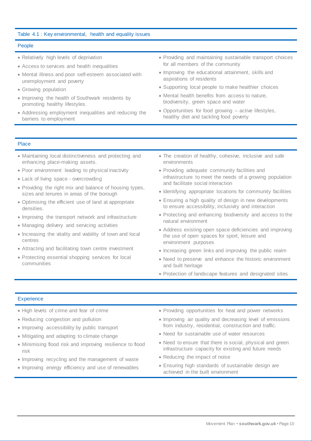#### Table 4.1 : Key environmental, health and equality issues

#### People

- Relatively high levels of deprivation
- Access to services and health inequalities
- Mental illness and poor self-esteem associated with unemployment and poverty
- Growing population
- Improving the health of Southwark residents by promoting healthy lifestyles.
- Addressing employment inequalities and reducing the barriers to employment
- Providing and maintaining sustainable transport choices for all members of the community
- Improving the educational attainment, skills and aspirations of residents
- Supporting local people to make healthier choices
- Mental health benefits from access to nature, biodiversity, green space and water
- Opportunities for food growing active lifestyles, healthy diet and tackling food poverty

#### Place

- Maintaining local distinctiveness and protecting and enhancing place-making assets.
- Poor environment leading to physical inactivity
- Lack of living space overcrowding
- Providing the right mix and balance of housing types, sizes and tenures in areas of the borough
- Optimising the efficient use of land at appropriate densities.
- Improving the transport network and infrastructure
- Managing delivery and servicing activities
- Increasing the vitality and viability of town and local centres
- Attracting and facilitating town centre investment
- Protecting essential shopping services for local communities
- The creation of healthy, cohesive, inclusive and safe environments
- Providing adequate community facilities and infrastructure to meet the needs of a growing population and facilitate social interaction
- Identifying appropriate locations for community facilities
- Ensuring a high quality of design in new developments to ensure accessibility, inclusivity and interaction
- Protecting and enhancing biodiversity and access to the natural environment
- Address existing open space deficiencies and improving the use of open spaces for sport, leisure and environment purposes
- Increasing green links and improving the public realm
- Need to preserve and enhance the historic environment and built heritage
- Protection of landscape features and designated sites

#### **Experience**

- High levels of crime and fear of crime
- Reducing congestion and pollution
- Improving accessibility by public transport
- Mitigating and adapting to climate change
- Minimising flood risk and improving resilience to flood risk
- Improving recycling and the management of waste
- Improving energy efficiency and use of renewables
- Providing opportunities for heat and power networks
- Improving air quality and decreasing level of emissions from industry, residential, construction and traffic.
- Need for sustainable use of water resources
- Need to ensure that there is social, physical and green infrastructure capacity for existing and future needs
- Reducing the impact of noise
- Ensuring high standards of sustainable design are achieved in the built environment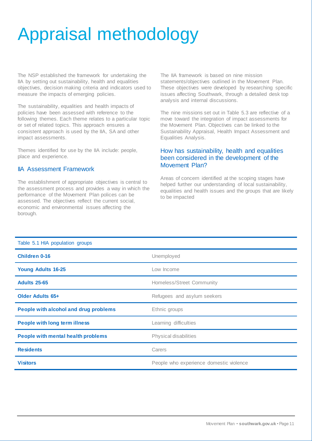# <span id="page-11-0"></span>Appraisal methodology

The NSP established the framework for undertaking the IIA by setting out sustainability, health and equalities objectives, decision making criteria and indicators used to measure the impacts of emerging policies.

The sustainability, equalities and health impacts of policies have been assessed with reference to the following themes. Each theme relates to a particular topic or set of related topics. This approach ensures a consistent approach is used by the IIA, SA and other impact assessments.

Themes identified for use by the IIA include: people, place and experience.

### IIA Assessment Framework

The establishment of appropriate objectives is central to the assessment process and provides a way in which the performance of the Movement Plan polices can be assessed. The objectives reflect the current social, economic and environmental issues affecting the borough.

The IIA framework is based on nine mission statements/objectives outlined in the Movement Plan. These objectives were developed by researching specific issues affecting Southwark, through a detailed desk top analysis and internal discussions.

The nine missions set out in Table 5.3 are reflective of a move toward the integration of impact assessments for the Movement Plan. Objectives can be linked to the Sustainability Appraisal, Health Impact Assessment and Equalities Analysis.

#### How has sustainability, health and equalities been considered in the development of the Movement Plan?

Areas of concern identified at the scoping stages have helped further our understanding of local sustainability, equalities and health issues and the groups that are likely to be impacted

| Table 5.1 HIA population groups           |                                         |
|-------------------------------------------|-----------------------------------------|
| <b>Children 0-16</b>                      | Unemployed                              |
| <b>Young Adults 16-25</b>                 | Low Income                              |
| <b>Adults 25-65</b>                       | Homeless/Street Community               |
| <b>Older Adults 65+</b>                   | Refugees and asylum seekers             |
| People with alcohol and drug problems     | Ethnic groups                           |
| <b>People with long term illness</b>      | Learning difficulties                   |
| <b>People with mental health problems</b> | Physical disabilities                   |
| <b>Residents</b>                          | Carers                                  |
| <b>Visitors</b>                           | People who experience domestic violence |

#### Table 5.1 HIA population groups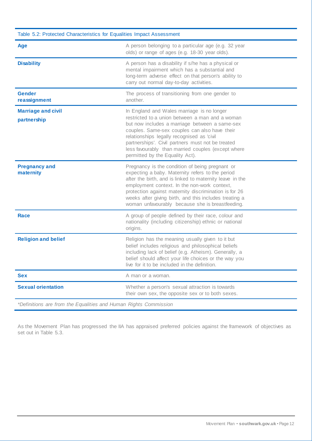| Table 5.2: Protected Characteristics for Equalities Impact Assessment |                                                                                                                                                                                                                                                                                                                                                                                              |  |  |  |  |  |  |
|-----------------------------------------------------------------------|----------------------------------------------------------------------------------------------------------------------------------------------------------------------------------------------------------------------------------------------------------------------------------------------------------------------------------------------------------------------------------------------|--|--|--|--|--|--|
| Age                                                                   | A person belonging to a particular age (e.g. 32 year<br>olds) or range of ages (e.g. 18-30 year olds).                                                                                                                                                                                                                                                                                       |  |  |  |  |  |  |
| <b>Disability</b>                                                     | A person has a disability if s/he has a physical or<br>mental impairment which has a substantial and<br>long-term adverse effect on that person's ability to<br>carry out normal day-to-day activities.                                                                                                                                                                                      |  |  |  |  |  |  |
| <b>Gender</b><br>reassignment                                         | The process of transitioning from one gender to<br>another.                                                                                                                                                                                                                                                                                                                                  |  |  |  |  |  |  |
| <b>Marriage and civil</b><br>partnership                              | In England and Wales marriage is no longer<br>restricted to a union between a man and a woman<br>but now includes a marriage between a same-sex<br>couples. Same-sex couples can also have their<br>relationships legally recognised as 'civil<br>partnerships'. Civil partners must not be treated<br>less favourably than married couples (except where<br>permitted by the Equality Act). |  |  |  |  |  |  |
| <b>Pregnancy and</b><br>maternity                                     | Pregnancy is the condition of being pregnant or<br>expecting a baby. Maternity refers to the period<br>after the birth, and is linked to maternity leave in the<br>employment context. In the non-work context,<br>protection against maternity discrimination is for 26<br>weeks after giving birth, and this includes treating a<br>woman unfavourably because she is breastfeeding.       |  |  |  |  |  |  |
| Race                                                                  | A group of people defined by their race, colour and<br>nationality (including citizenship) ethnic or national<br>origins.                                                                                                                                                                                                                                                                    |  |  |  |  |  |  |
| <b>Religion and belief</b>                                            | Religion has the meaning usually given to it but<br>belief includes religious and philosophical beliefs<br>including lack of belief (e.g. Atheism). Generally, a<br>belief should affect your life choices or the way you<br>live for it to be included in the definition.                                                                                                                   |  |  |  |  |  |  |
| <b>Sex</b>                                                            | A man or a woman.                                                                                                                                                                                                                                                                                                                                                                            |  |  |  |  |  |  |
| <b>Sexual orientation</b>                                             | Whether a person's sexual attraction is towards<br>their own sex, the opposite sex or to both sexes.                                                                                                                                                                                                                                                                                         |  |  |  |  |  |  |
| *Definitions are from the Equalities and Human Rights Commission      |                                                                                                                                                                                                                                                                                                                                                                                              |  |  |  |  |  |  |

As the Movement Plan has progressed the IIA has appraised preferred policies against the framework of objectives as set out in Table 5.3.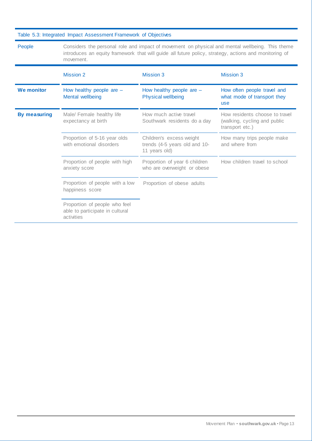| Table 5.3: Integrated Impact Assessment Framework of Objectives         |                                                                                                                                                                                                                       |                                                                            |                                                                                   |  |  |  |  |  |
|-------------------------------------------------------------------------|-----------------------------------------------------------------------------------------------------------------------------------------------------------------------------------------------------------------------|----------------------------------------------------------------------------|-----------------------------------------------------------------------------------|--|--|--|--|--|
| People                                                                  | Considers the personal role and impact of movement on physical and mental wellbeing. This theme<br>introduces an equity framework that will guide all future policy, strategy, actions and monitoring of<br>movement. |                                                                            |                                                                                   |  |  |  |  |  |
|                                                                         | <b>Mission 2</b>                                                                                                                                                                                                      | <b>Mission 3</b>                                                           | <b>Mission 3</b>                                                                  |  |  |  |  |  |
| <b>We monitor</b>                                                       | How healthy people are $-$<br>Mental wellbeing                                                                                                                                                                        | How healthy people are $-$<br><b>Physical wellbeing</b>                    | How often people travel and<br>what mode of transport they<br>use                 |  |  |  |  |  |
| <b>By measuring</b><br>Male/ Female healthy life<br>expectancy at birth |                                                                                                                                                                                                                       | How much active travel<br>Southwark residents do a day                     | How residents choose to travel<br>(walking, cycling and public<br>transport etc.) |  |  |  |  |  |
|                                                                         | Proportion of 5-16 year olds<br>with emotional disorders                                                                                                                                                              | Children's excess weight<br>trends (4-5 years old and 10-<br>11 years old) | How many trips people make<br>and where from                                      |  |  |  |  |  |
|                                                                         | Proportion of people with high<br>anxiety score                                                                                                                                                                       | Proportion of year 6 children<br>who are overweight or obese               | How children travel to school                                                     |  |  |  |  |  |
|                                                                         | Proportion of people with a low<br>happiness score                                                                                                                                                                    | Proportion of obese adults                                                 |                                                                                   |  |  |  |  |  |
|                                                                         | Proportion of people who feel<br>able to participate in cultural<br>activities                                                                                                                                        |                                                                            |                                                                                   |  |  |  |  |  |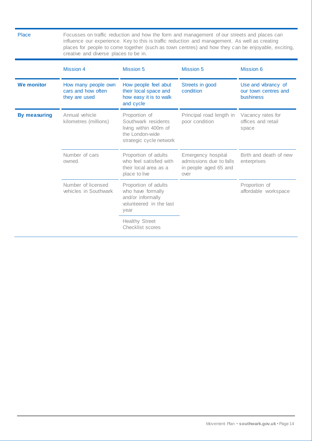| <b>Place</b>        | creative and diverse places to be in.                      |                                                                                                             | Focusses on traffic reduction and how the form and management of our streets and places can<br>influence our experience. Key to this is traffic reduction and management. As well as creating<br>places for people to come together (such as town centres) and how they can be enjoyable, exciting, |                                                          |
|---------------------|------------------------------------------------------------|-------------------------------------------------------------------------------------------------------------|-----------------------------------------------------------------------------------------------------------------------------------------------------------------------------------------------------------------------------------------------------------------------------------------------------|----------------------------------------------------------|
|                     | <b>Mission 4</b>                                           | <b>Mission 5</b>                                                                                            | <b>Mission 5</b>                                                                                                                                                                                                                                                                                    | <b>Mission 6</b>                                         |
| <b>We monitor</b>   | How many people own<br>cars and how often<br>they are used | How people feel abut<br>their local space and<br>how easy it is to walk<br>and cycle                        | Streets in good<br>condition                                                                                                                                                                                                                                                                        | Use and vibrancy of<br>our town centres and<br>bushiness |
| <b>By measuring</b> | Annual vehicle<br>kilometres (millions)                    | Proportion of<br>Southwark residents<br>living within 400m of<br>the London-wide<br>strategic cycle network | Principal road length in<br>poor condition                                                                                                                                                                                                                                                          | Vacancy rates for<br>offices and retail<br>space         |
|                     | Number of cars<br>owned.                                   | Proportion of adults<br>who feel satisfied with<br>their local area as a<br>place to live                   | Emergency hospital<br>admissions due to falls<br>in people aged 65 and<br>over                                                                                                                                                                                                                      | Birth and death of new<br>enterprises                    |
|                     | Number of licensed<br>vehicles in Southwark                | Proportion of adults<br>who have formally<br>and/or informally<br>volunteered in the last<br>year           |                                                                                                                                                                                                                                                                                                     | Proportion of<br>affordable workspace                    |
|                     |                                                            | <b>Healthy Street</b><br>Checklist scores                                                                   |                                                                                                                                                                                                                                                                                                     |                                                          |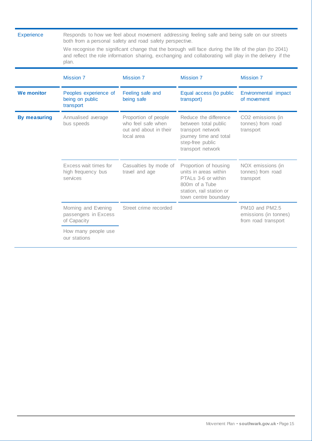| <b>Experience</b>   | plan.                                                      | both from a personal safety and road safety perspective.                           | Responds to how we feel about movement addressing feeling safe and being safe on our streets<br>We recognise the significant change that the borough will face during the life of the plan (to 2041)<br>and reflect the role information sharing, exchanging and collaborating will play in the delivery if the |                                                                |
|---------------------|------------------------------------------------------------|------------------------------------------------------------------------------------|-----------------------------------------------------------------------------------------------------------------------------------------------------------------------------------------------------------------------------------------------------------------------------------------------------------------|----------------------------------------------------------------|
|                     | <b>Mission 7</b>                                           | <b>Mission 7</b>                                                                   | <b>Mission 7</b>                                                                                                                                                                                                                                                                                                | <b>Mission 7</b>                                               |
| <b>We monitor</b>   | Peoples experience of<br>being on public<br>transport      | Feeling safe and<br>being safe                                                     | Equal access (to public<br>transport)                                                                                                                                                                                                                                                                           | Environmental impact<br>of movement                            |
| <b>By measuring</b> | Annualised average<br>bus speeds                           | Proportion of people<br>who feel safe when<br>out and about in their<br>local area | Reduce the difference<br>between total public<br>transport network<br>journey time and total<br>step-free public<br>transport network                                                                                                                                                                           | CO2 emissions (in<br>tonnes) from road<br>transport            |
|                     | Excess wait times for<br>high frequency bus<br>services    | Casualties by mode of<br>travel and age                                            | Proportion of housing<br>units in areas within<br>PTALs 3-6 or within<br>800m of a Tube<br>station, rail station or<br>town centre boundary                                                                                                                                                                     | NOX emissions (in<br>tonnes) from road<br>transport            |
|                     | Morning and Evening<br>passengers in Excess<br>of Capacity | Street crime recorded                                                              |                                                                                                                                                                                                                                                                                                                 | PM10 and PM2.5<br>emissions (in tonnes)<br>from road transport |
|                     | How many people use<br>our stations                        |                                                                                    |                                                                                                                                                                                                                                                                                                                 |                                                                |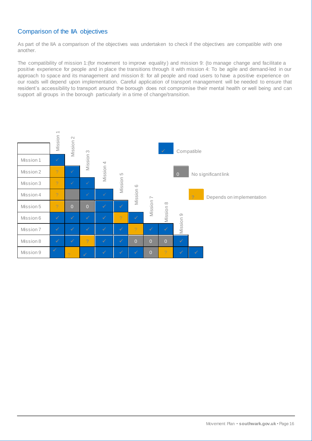### Comparison of the IIA objectives

As part of the IIA a comparison of the objectives was undertaken to check if the objectives are compatible with one another.

The compatibility of mission 1:(for movement to improve equality) and mission 9: (to manage change and facilitate a positive experience for people and in place the transitions through it with mission 4: To be agile and demand-led in our approach to space and its management and mission 8: for all people and road users to have a positive experience on our roads will depend upon implementation. Careful application of transport management will be needed to ensure that resident's accessibility to transport around the borough does not compromise their mental health or well being and can support all groups in the borough particularly in a time of change/transition.

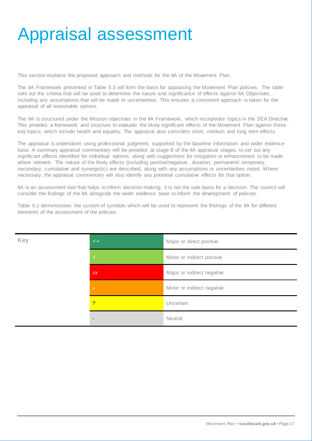# <span id="page-17-0"></span>Appraisal assessment

This section explains the proposed approach and methods for the IIA of the Movement Plan.

The IIA Framework presented in Table 5.3 will form the basis for appraising the Movement Plan policies. The table sets out the criteria that will be used to determine the nature and significance of effects against IIA Objectives, including any assumptions that will be made or uncertainties. This ensures a consistent approach is taken for the appraisal of all reasonable options.

The IIA is structured under the Mission objectives in the IIA Framework, which incorporate topics in the SEA Directive. This provides a framework and structure to evaluate the likely significant effects of the Movement Plan against these key topics, which include health and equality. The appraisal also considers short, medium and long term effects.

The appraisal is undertaken using professional judgment, supported by the baseline information and wider evidence base. A summary appraisal commentary will be provided at stage B of the IIA appraisal stages, to set out any significant effects identified for individual options, along with suggestions for mitigation or enhancement to be made where relevant. The nature of the likely effects (including positive/negative, duration, permanent/ temporary, secondary, cumulative and synergistic) are described, along with any assumptions or uncertainties noted. Where necessary, the appraisal commentary will also identify any potential cumulative effects for that option.

IIA is an assessment tool that helps to inform decision-making, it is not the sole basis for a decision. The council will consider the findings of the IIA alongside the wider evidence base to inform the development of policies.

Table 6.1 demonstrates the system of symbols which will be used to represent the findings of the IIA for different elements of the assessment of the policies.

| Key | $\checkmark\checkmark$    | Major or direct positive   |
|-----|---------------------------|----------------------------|
|     | $\checkmark$              | Minor or indirect positive |
|     | <b>XX</b>                 | Major or indirect negative |
|     | $\boldsymbol{\mathsf{X}}$ | Minor or indirect negative |
|     | $\overline{?}$            | Uncertain                  |
|     | $\blacksquare$            | Neutral                    |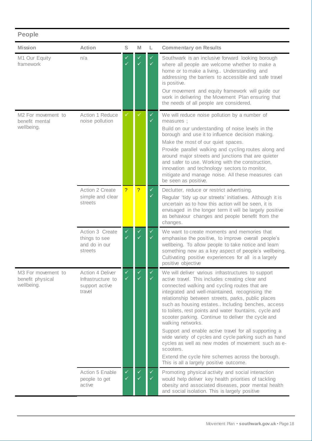### **People**

| <b>Mission</b>                                       | <b>Action</b>                                                            | S                            | M                            | L                 | <b>Commentary on Results</b>                                                                                                                                                                                                                                                                                                                                                                                                                                                                                                                                                                                                                                                                                                                   |
|------------------------------------------------------|--------------------------------------------------------------------------|------------------------------|------------------------------|-------------------|------------------------------------------------------------------------------------------------------------------------------------------------------------------------------------------------------------------------------------------------------------------------------------------------------------------------------------------------------------------------------------------------------------------------------------------------------------------------------------------------------------------------------------------------------------------------------------------------------------------------------------------------------------------------------------------------------------------------------------------------|
| M1 Our Equity<br>framework                           | n/a                                                                      | ✓<br>$\checkmark$            | ✓                            |                   | Southwark is an inclusive forward looking borough<br>where all people are welcome whether to make a<br>home or to make a living Understanding and<br>addressing the barriers to accessible and safe travel<br>is positive.<br>Our movement and equity framework will guide our<br>work in delivering the Movement Plan ensuring that<br>the needs of all people are considered.                                                                                                                                                                                                                                                                                                                                                                |
| M2 For movement to<br>benefit mental<br>wellbeing.   | <b>Action 1 Reduce</b><br>noise pollution                                | ✓                            |                              | ✓                 | We will reduce noise pollution by a number of<br>measures :<br>Build on our understanding of noise levels in the<br>borough and use it to influence decision making.<br>Make the most of our quiet spaces.<br>Provide parallel walking and cycling routes along and<br>around major streets and junctions that are quieter<br>and safer to use. Working with the construction,<br>innovation and technology sectors to monitor,<br>mitigate and manage noise. All these measures can<br>be seen as positive.                                                                                                                                                                                                                                   |
|                                                      | <b>Action 2 Create</b><br>simple and clear<br>streets                    | $\overline{?}$               | $\overline{?}$               | ✓<br>✓            | Declutter, reduce or restrict advertising.<br>Regular 'tidy up our streets' initiatives. Although it is<br>uncertain as to how this action will be seen, it is<br>envisaged in the longer term it will be largely positive<br>as behaviour changes and people benefit from the<br>changes.                                                                                                                                                                                                                                                                                                                                                                                                                                                     |
|                                                      | Action 3 Create<br>things to see<br>and do in our<br>streets             | $\checkmark$<br>$\checkmark$ | $\checkmark$<br>$\checkmark$ | $\checkmark$<br>✓ | We want to create moments and memories that<br>emphasise the positive, to improve overall people's<br>wellbeing. To allow people to take notice and learn<br>something new as a key aspect of people's wellbeing.<br>Cultivating positive experiences for all is a largely<br>positive objective                                                                                                                                                                                                                                                                                                                                                                                                                                               |
| M3 For movement to<br>benefit physical<br>wellbeing. | <b>Action 4 Deliver</b><br>Infrastructure to<br>support active<br>travel | ✓                            |                              |                   | We will deliver various infrastructures to support<br>active travel. This includes creating clear and<br>connected walking and cycling routes that are<br>integrated and well-maintained, recognising the<br>relationship between streets, parks, public places<br>such as housing estates Including benches, access<br>to toilets, rest points and water fountains, cycle and<br>scooter parking. Continue to deliver the cycle and<br>walking networks.<br>Support and enable active travel for all supporting a<br>wide variety of cycles and cycle parking such as hand<br>cycles as well as new modes of movement such as e-<br>scooters.<br>Extend the cycle hire schemes across the borough.<br>This is all a largely positive outcome. |
|                                                      | Action 5 Enable<br>people to get<br>active                               | $\checkmark$<br>✓            | $\checkmark$                 | ✓                 | Promoting physical activity and social interaction<br>would help deliver key health priorities of tackling<br>obesity and associated diseases, poor mental health<br>and social isolation. This is largely positive                                                                                                                                                                                                                                                                                                                                                                                                                                                                                                                            |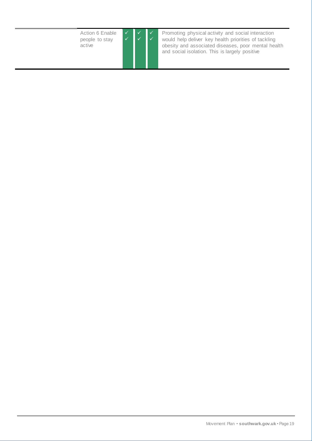Action 6 Enable people to stay active



Promoting physical activity and social interaction would help deliver key health priorities of tackling obesity and associated diseases, poor mental health and social isolation. This is largely positive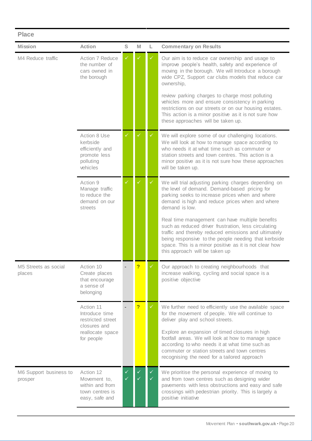| <b>Place</b>                      |                                                                                      |                   |   |        |                                                                                                                                                                                                                                                                                                                                      |  |
|-----------------------------------|--------------------------------------------------------------------------------------|-------------------|---|--------|--------------------------------------------------------------------------------------------------------------------------------------------------------------------------------------------------------------------------------------------------------------------------------------------------------------------------------------|--|
| <b>Mission</b>                    | <b>Action</b>                                                                        | S                 | M | L.     | <b>Commentary on Results</b>                                                                                                                                                                                                                                                                                                         |  |
| M4 Reduce traffic                 | Action 7 Reduce<br>the number of<br>cars owned in<br>the borough                     | ✓                 |   |        | Our aim is to reduce car ownership and usage to<br>improve people's health, safety and experience of<br>moving in the borough. We will Introduce a borough<br>wide CPZ, Support car clubs models that reduce car<br>ownership,<br>review parking charges to charge most polluting<br>vehicles more and ensure consistency in parking |  |
|                                   |                                                                                      |                   |   |        | restrictions on our streets or on our housing estates.<br>This action is a minor positive as it is not sure how<br>these approaches will be taken up.                                                                                                                                                                                |  |
|                                   | Action 8 Use<br>kerbside<br>efficiently and<br>promote less<br>polluting<br>vehicles | $\checkmark$      |   | ✓      | We will explore some of our challenging locations.<br>We will look at how to manage space according to<br>who needs it at what time such as commuter or<br>station streets and town centres. This action is a<br>minor positive as it is not sure how these approaches<br>will be taken up.                                          |  |
|                                   | Action 9<br>Manage traffic<br>to reduce the<br>demand on our<br>streets              | $\checkmark$      |   | ✓      | We will trial adjusting parking charges depending on<br>the level of demand. Demand-based pricing for<br>parking seeks to increase prices when and where<br>demand is high and reduce prices when and where<br>demand is low.                                                                                                        |  |
|                                   |                                                                                      |                   |   |        | Real time management can have multiple benefits<br>such as reduced driver frustration, less circulating<br>traffic and thereby reduced emissions and ultimately<br>being responsive to the people needing that kerbside<br>space. This is a minor positive as it is not clear how<br>this approach will be taken up                  |  |
| M5 Streets as social<br>places    | Action 10<br>Create places<br>that encourage<br>a sense of<br>belonging              |                   |   |        | Our approach to creating neighbourhoods that<br>increase walking, cycling and social space is a<br>positive objective                                                                                                                                                                                                                |  |
|                                   | Action 11<br>Introduce time<br>restricted street<br>closures and                     |                   | ? | ✓      | We further need to efficiently use the available space<br>for the movement of people. We will continue to<br>deliver play and school streets.                                                                                                                                                                                        |  |
|                                   | reallocate space<br>for people                                                       |                   |   |        | Explore an expansion of timed closures in high<br>footfall areas. We will look at how to manage space<br>according to who needs it at what time such as<br>commuter or station streets and town centres<br>recognising the need for a tailored approach                                                                              |  |
| M6 Support business to<br>prosper | Action 12<br>Movement to,<br>within and from<br>town centres is<br>easy, safe and    | ✓<br>$\checkmark$ |   | ✓<br>✓ | We prioritise the personal experience of moving to<br>and from town centres such as designing wider<br>pavements with less obstructions and easy and safe<br>crossings with pedestrian priority. This is largely a<br>positive initiative                                                                                            |  |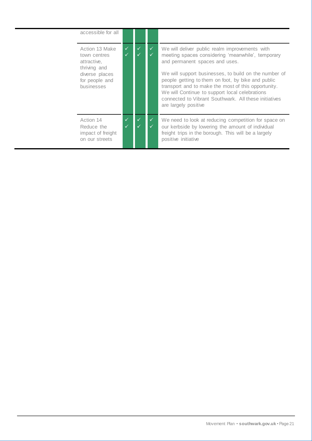| accessible for all                                                                                              |              |                              |                                                                                                                                                                                                                                                                                                                                                                                                                                                |
|-----------------------------------------------------------------------------------------------------------------|--------------|------------------------------|------------------------------------------------------------------------------------------------------------------------------------------------------------------------------------------------------------------------------------------------------------------------------------------------------------------------------------------------------------------------------------------------------------------------------------------------|
| Action 13 Make<br>town centres<br>attractive,<br>thriving and<br>diverse places<br>for people and<br>businesses | $\checkmark$ | $\checkmark$                 | We will deliver public realm improvements with<br>meeting spaces considering 'meanwhile', temporary<br>and permanent spaces and uses.<br>We will support businesses, to build on the number of<br>people getting to them on foot, by bike and public<br>transport and to make the most of this opportunity.<br>We will Continue to support local celebrations<br>connected to Vibrant Southwark. All these initiatives<br>are largely positive |
| Action 14<br>Reduce the<br>impact of freight<br>on our streets                                                  | ✓            | $\checkmark$<br>$\checkmark$ | We need to look at reducing competition for space on<br>our kerbside by lowering the amount of individual<br>freight trips in the borough. This will be a largely<br>positive initiative                                                                                                                                                                                                                                                       |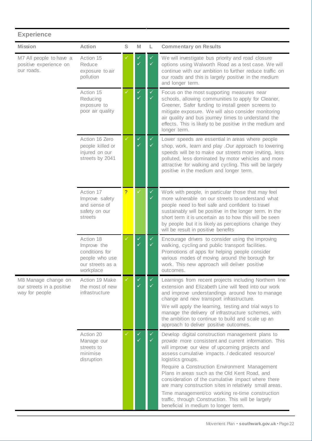| <b>Experience</b>                                                  |                                                                                               |              |                              |                              |                                                                                                                                                                                                                                                                                                                                                                                                                                                                                                                                                                                                          |
|--------------------------------------------------------------------|-----------------------------------------------------------------------------------------------|--------------|------------------------------|------------------------------|----------------------------------------------------------------------------------------------------------------------------------------------------------------------------------------------------------------------------------------------------------------------------------------------------------------------------------------------------------------------------------------------------------------------------------------------------------------------------------------------------------------------------------------------------------------------------------------------------------|
| <b>Mission</b>                                                     | <b>Action</b>                                                                                 | S            | M                            | L                            | <b>Commentary on Results</b>                                                                                                                                                                                                                                                                                                                                                                                                                                                                                                                                                                             |
| M7 All people to have a<br>positive experience on<br>our roads.    | Action 15<br>Reduce<br>exposure to air<br>pollution                                           |              |                              | ✓<br>✓                       | We will investigate bus priority and road closure<br>options using Walworth Road as a test case. We will<br>continue with our ambition to further reduce traffic on<br>our roads and this is largely positive in the medium<br>and longer term.                                                                                                                                                                                                                                                                                                                                                          |
|                                                                    | Action 15<br>Reducing<br>exposure to<br>poor air quality                                      | $\checkmark$ | $\checkmark$<br>$\checkmark$ | $\checkmark$<br>$\checkmark$ | Focus on the most supporting measures near<br>schools, allowing communities to apply for Cleaner,<br>Greener, Safer funding to install green screens to<br>mitigate exposure. We will also consider monitoring<br>air quality and bus journey times to understand the<br>effects. This is likely to be positive in the medium and<br>longer term.                                                                                                                                                                                                                                                        |
|                                                                    | Action 16 Zero<br>people killed or<br>injured on our<br>streets by 2041                       | $\checkmark$ | $\checkmark$<br>✓            | $\checkmark$<br>✓            | Lower speeds are essential in areas where people<br>shop, work, learn and play .Our approach to lowering<br>speeds will be to make our streets more inviting, less<br>polluted, less dominated by motor vehicles and more<br>attractive for walking and cycling. This will be largely<br>positive in the medium and longer term.                                                                                                                                                                                                                                                                         |
|                                                                    | Action 17<br>Improve safety<br>and sense of<br>safety on our<br>streets                       | ?            |                              | $\checkmark$<br>✓            | Work with people, in particular those that may feel<br>more vulnerable on our streets to understand what<br>people need to feel safe and confident to travel<br>sustainably will be positive in the longer term. In the<br>short term it is uncertain as to how this will be seen<br>by people but it is likely as perceptions change they<br>will be result in positive benefits                                                                                                                                                                                                                        |
|                                                                    | Action 18<br>Improve the<br>conditions for<br>people who use<br>our streets as a<br>workplace | $\checkmark$ | $\checkmark$                 | $\checkmark$<br>✓            | Encourage drivers to consider using the improving<br>walking, cycling and public transport facilities.<br>Promotions of apps for helping people consider<br>various modes of moving around the borough for<br>work. This new approach will deliver positive<br>outcomes.                                                                                                                                                                                                                                                                                                                                 |
| M8 Manage change on<br>our streets in a positive<br>way for people | Action 19 Make<br>the most of new<br>infrastructure                                           | $\checkmark$ | $\checkmark$<br>✓            | $\checkmark$<br>✓            | Learnings from recent projects including Northern line<br>extension and Elizabeth Line will feed into our work<br>and improve understandings around how to manage<br>change and new transport infrastructure.<br>We will apply the learning, testing and trial ways to<br>manage the delivery of infrastructure schemes, with<br>the ambition to continue to build and scale up an<br>approach to deliver positive outcomes.                                                                                                                                                                             |
|                                                                    | Action 20<br>Manage our<br>streets to<br>minimise<br>disruption                               | $\checkmark$ | $\checkmark$<br>✓            | $\checkmark$<br>✓            | Develop digital construction management plans to<br>provide more consistent and current information. This<br>will improve our view of upcoming projects and<br>assess cumulative impacts. / dedicated resource/<br>logistics groups.<br>Require a Construction Environment Management<br>Plans in areas such as the Old Kent Road, and<br>consideration of the cumulative impact where there<br>are many construction sites in relatively small areas.<br>Time management/co working re-time construction<br>traffic, through Construction. This will be largely<br>beneficial in medium to longer term. |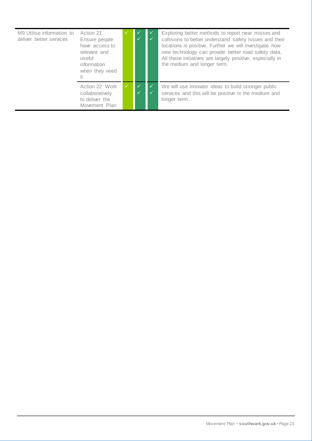| M9 Utilise information to<br>deliver better services | Action 21<br>Ensure people<br>have access to<br>relevant and<br>useful<br>information<br>when they need<br>it. |            | Exploring better methods to report near misses and<br>collisions to better understand safety issues and their<br>locations is positive. Further we will investigate how<br>new technology can provide better road safety data.<br>All these initiatives are largely positive, especially in<br>the medium and longer term. |
|------------------------------------------------------|----------------------------------------------------------------------------------------------------------------|------------|----------------------------------------------------------------------------------------------------------------------------------------------------------------------------------------------------------------------------------------------------------------------------------------------------------------------------|
|                                                      | Action 22 Work<br>collaboratively<br>to deliver the<br>Movement Plan                                           | $\sqrt{ }$ | We will use innovate ideas to build stronger public<br>services and this will be positive in the medium and<br>longer term.                                                                                                                                                                                                |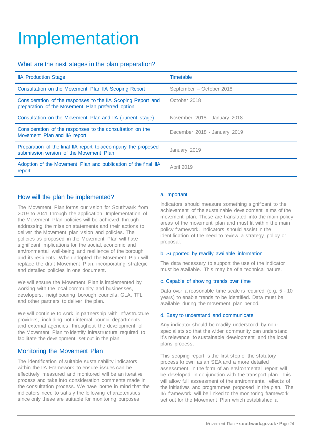# <span id="page-24-0"></span>Implementation

### What are the next stages in the plan preparation?

| <b>IIA Production Stage</b>                                                                                       | <b>Timetable</b>             |
|-------------------------------------------------------------------------------------------------------------------|------------------------------|
| Consultation on the Movement Plan IIA Scoping Report                                                              | September - October 2018     |
| Consideration of the responses to the IIA Scoping Report and<br>preparation of the Movement Plan preferred option | October 2018                 |
| Consultation on the Movement Plan and IIA (current stage)                                                         | November 2018- January 2018  |
| Consideration of the responses to the consultation on the<br>Movement Plan and IIA report.                        | December 2018 - January 2019 |
| Preparation of the final IIA report to accompany the proposed<br>submission version of the Movement Plan          | January 2019                 |
| Adoption of the Movement Plan and publication of the final IIA<br>report.                                         | <b>April 2019</b>            |

#### How will the plan be implemented?

The Movement Plan forms our vision for Southwark from 2019 to 2041 through the application. Implementation of the Movement Plan policies will be achieved through addressing the mission statements and their actions to deliver the Movement plan vision and policies. The policies as proposed in the Movement Plan will have significant implications for the social, economic and environmental well-being and resilience of the borough and its residents. When adopted the Movement Plan will replace the draft Movement Plan, incorporating strategic and detailed policies in one document.

We will ensure the Movement Plan is implemented by working with the local community and businesses, developers, neighbouring borough councils, GLA, TFL and other partners to deliver the plan.

We will continue to work in partnership with infrastructure providers, including both internal council departments and external agencies, throughout the development of the Movement Plan to identify infrastructure required to facilitate the development set out in the plan.

### Monitoring the Movement Plan

The identification of suitable sustainability indicators within the IIA Framework to ensure issues can be effectively measured and monitored will be an iterative process and take into consideration comments made in the consultation process. We have borne in mind that the indicators need to satisfy the following characteristics since only these are suitable for monitoring purposes:

#### a. Important

Indicators should measure something significant to the achievement of the sustainable development aims of the movement plan. These are translated into the main policy areas of the movement plan and must fit within the main policy framework. Indicators should assist in the identification of the need to review a strategy, policy or proposal.

#### b. Supported by readily available information

The data necessary to support the use of the indicator must be available. This may be of a technical nature.

#### c. Capable of showing trends over time

Data over a reasonable time scale is required (e.g. 5 - 10 years) to enable trends to be identified. Data must be available during the movement plan period.

#### d. Easy to understand and communicate

Any indicator should be readily understood by nonspecialists so that the wider community can understand it's relevance to sustainable development and the local plans process.

This scoping report is the first step of the statutory process known as an SEA and a more detailed assessment, in the form of an environmental report will be developed in conjunction with the transport plan. This will allow full assessment of the environmental effects of the initiatives and programmes proposed in the plan. The IIA framework will be linked to the monitoring framework set out for the Movement Plan which established a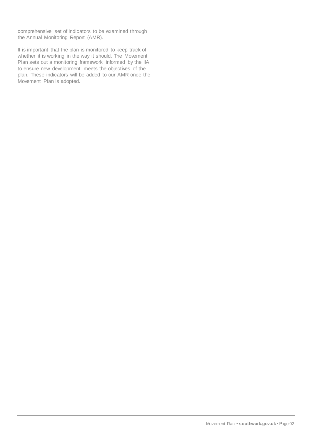comprehensive set of indicators to be examined through the Annual Monitoring Report (AMR).

It is important that the plan is monitored to keep track of whether it is working in the way it should. The Movement Plan sets out a monitoring framework informed by the IIA to ensure new development meets the objectives of the plan. These indicators will be added to our AMR once the Movement Plan is adopted.